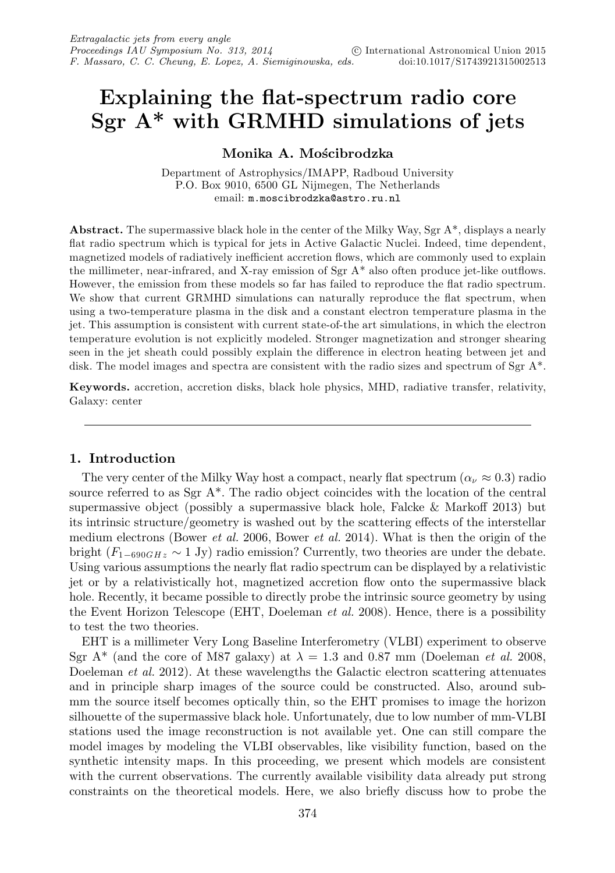# **Explaining the flat-spectrum radio core Sgr A\* with GRMHD simulations of jets**

# **Monika A. Mo´scibrodzka**

Department of Astrophysics/IMAPP, Radboud University P.O. Box 9010, 6500 GL Nijmegen, The Netherlands email: m.moscibrodzka@astro.ru.nl

**Abstract.** The supermassive black hole in the center of the Milky Way, Sgr A\*, displays a nearly flat radio spectrum which is typical for jets in Active Galactic Nuclei. Indeed, time dependent, magnetized models of radiatively inefficient accretion flows, which are commonly used to explain the millimeter, near-infrared, and X-ray emission of  $Sgr A^*$  also often produce jet-like outflows. However, the emission from these models so far has failed to reproduce the flat radio spectrum. We show that current GRMHD simulations can naturally reproduce the flat spectrum, when using a two-temperature plasma in the disk and a constant electron temperature plasma in the jet. This assumption is consistent with current state-of-the art simulations, in which the electron temperature evolution is not explicitly modeled. Stronger magnetization and stronger shearing seen in the jet sheath could possibly explain the difference in electron heating between jet and disk. The model images and spectra are consistent with the radio sizes and spectrum of Sgr A<sup>\*</sup>.

**Keywords.** accretion, accretion disks, black hole physics, MHD, radiative transfer, relativity, Galaxy: center

## **1. Introduction**

The very center of the Milky Way host a compact, nearly flat spectrum  $(\alpha_{\nu} \approx 0.3)$  radio source referred to as Sgr A\*. The radio object coincides with the location of the central supermassive object (possibly a supermassive black hole, Falcke  $\&$  Markoff 2013) but its intrinsic structure/geometry is washed out by the scattering effects of the interstellar medium electrons (Bower *et al.* 2006, Bower *et al.* 2014). What is then the origin of the bright  $(F_{1-690GHz} \sim 1 \text{ Jy})$  radio emission? Currently, two theories are under the debate. Using various assumptions the nearly flat radio spectrum can be displayed by a relativistic jet or by a relativistically hot, magnetized accretion flow onto the supermassive black hole. Recently, it became possible to directly probe the intrinsic source geometry by using the Event Horizon Telescope (EHT, Doeleman *et al.* 2008). Hence, there is a possibility to test the two theories.

EHT is a millimeter Very Long Baseline Interferometry (VLBI) experiment to observe Sgr A<sup>\*</sup> (and the core of M87 galaxy) at  $\lambda = 1.3$  and 0.87 mm (Doeleman *et al.* 2008, Doeleman *et al.* 2012). At these wavelengths the Galactic electron scattering attenuates and in principle sharp images of the source could be constructed. Also, around submm the source itself becomes optically thin, so the EHT promises to image the horizon silhouette of the supermassive black hole. Unfortunately, due to low number of mm-VLBI stations used the image reconstruction is not available yet. One can still compare the model images by modeling the VLBI observables, like visibility function, based on the synthetic intensity maps. In this proceeding, we present which models are consistent with the current observations. The currently available visibility data already put strong constraints on the theoretical models. Here, we also briefly discuss how to probe the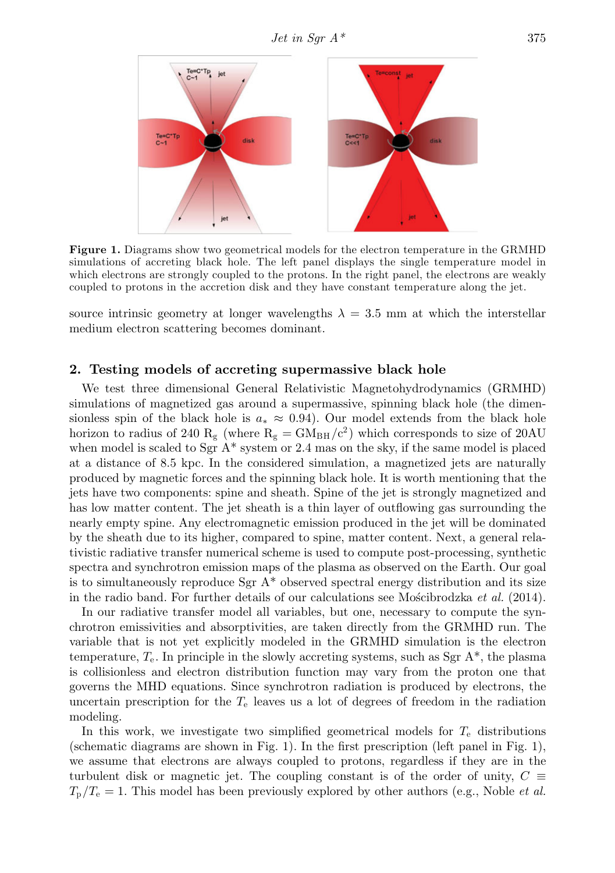

**Figure 1.** Diagrams show two geometrical models for the electron temperature in the GRMHD simulations of accreting black hole. The left panel displays the single temperature model in which electrons are strongly coupled to the protons. In the right panel, the electrons are weakly coupled to protons in the accretion disk and they have constant temperature along the jet.

source intrinsic geometry at longer wavelengths  $\lambda = 3.5$  mm at which the interstellar medium electron scattering becomes dominant.

## **2. Testing models of accreting supermassive black hole**

We test three dimensional General Relativistic Magnetohydrodynamics (GRMHD) simulations of magnetized gas around a supermassive, spinning black hole (the dimensionless spin of the black hole is  $a_* \approx 0.94$ ). Our model extends from the black hole horizon to radius of 240 R<sub>g</sub> (where  $R_g = GM_{BH}/c^2$ ) which corresponds to size of 20AU when model is scaled to Sgr  $A^*$  system or 2.4 mas on the sky, if the same model is placed at a distance of 8.5 kpc. In the considered simulation, a magnetized jets are naturally produced by magnetic forces and the spinning black hole. It is worth mentioning that the jets have two components: spine and sheath. Spine of the jet is strongly magnetized and has low matter content. The jet sheath is a thin layer of outflowing gas surrounding the nearly empty spine. Any electromagnetic emission produced in the jet will be dominated by the sheath due to its higher, compared to spine, matter content. Next, a general relativistic radiative transfer numerical scheme is used to compute post-processing, synthetic spectra and synchrotron emission maps of the plasma as observed on the Earth. Our goal is to simultaneously reproduce  $Sgr A^*$  observed spectral energy distribution and its size in the radio band. For further details of our calculations see Moscibrodzka et al.  $(2014)$ .

In our radiative transfer model all variables, but one, necessary to compute the synchrotron emissivities and absorptivities, are taken directly from the GRMHD run. The variable that is not yet explicitly modeled in the GRMHD simulation is the electron temperature,  $T_e$ . In principle in the slowly accreting systems, such as Sgr  $A^*$ , the plasma is collisionless and electron distribution function may vary from the proton one that governs the MHD equations. Since synchrotron radiation is produced by electrons, the uncertain prescription for the  $T_e$  leaves us a lot of degrees of freedom in the radiation modeling.

In this work, we investigate two simplified geometrical models for  $T_e$  distributions (schematic diagrams are shown in Fig. 1). In the first prescription (left panel in Fig. 1), we assume that electrons are always coupled to protons, regardless if they are in the turbulent disk or magnetic jet. The coupling constant is of the order of unity,  $C \equiv$  $T_{\rm p}/T_{\rm e} = 1$ . This model has been previously explored by other authors (e.g., Noble *et al.*)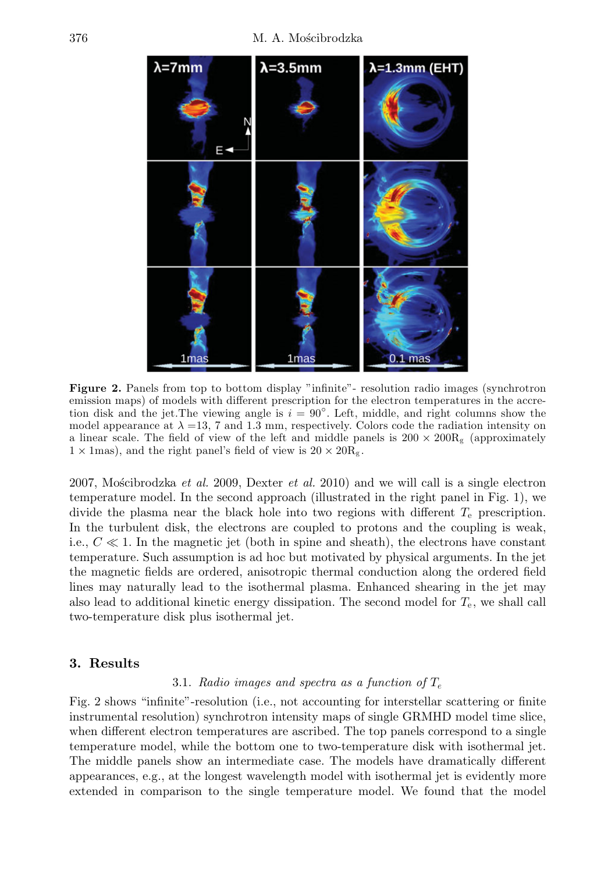

**Figure 2.** Panels from top to bottom display "infinite"- resolution radio images (synchrotron emission maps) of models with different prescription for the electron temperatures in the accretion disk and the jet. The viewing angle is  $i = 90°$ . Left, middle, and right columns show the model appearance at  $\lambda = 13$ , 7 and 1.3 mm, respectively. Colors code the radiation intensity on a linear scale. The field of view of the left and middle panels is  $200 \times 200R_g$  (approximately  $1 \times$  1mas), and the right panel's field of view is  $20 \times 20R_g$ .

2007, Mościbrodzka et al. 2009, Dexter et al. 2010) and we will call is a single electron temperature model. In the second approach (illustrated in the right panel in Fig. 1), we divide the plasma near the black hole into two regions with different  $T_e$  prescription. In the turbulent disk, the electrons are coupled to protons and the coupling is weak, i.e.,  $C \ll 1$ . In the magnetic jet (both in spine and sheath), the electrons have constant temperature. Such assumption is ad hoc but motivated by physical arguments. In the jet the magnetic fields are ordered, anisotropic thermal conduction along the ordered field lines may naturally lead to the isothermal plasma. Enhanced shearing in the jet may also lead to additional kinetic energy dissipation. The second model for  $T_e$ , we shall call two-temperature disk plus isothermal jet.

#### **3. Results**

#### 3.1. Radio images and spectra as a function of  $T_e$

Fig. 2 shows "infinite"-resolution (i.e., not accounting for interstellar scattering or finite instrumental resolution) synchrotron intensity maps of single GRMHD model time slice, when different electron temperatures are ascribed. The top panels correspond to a single temperature model, while the bottom one to two-temperature disk with isothermal jet. The middle panels show an intermediate case. The models have dramatically different appearances, e.g., at the longest wavelength model with isothermal jet is evidently more extended in comparison to the single temperature model. We found that the model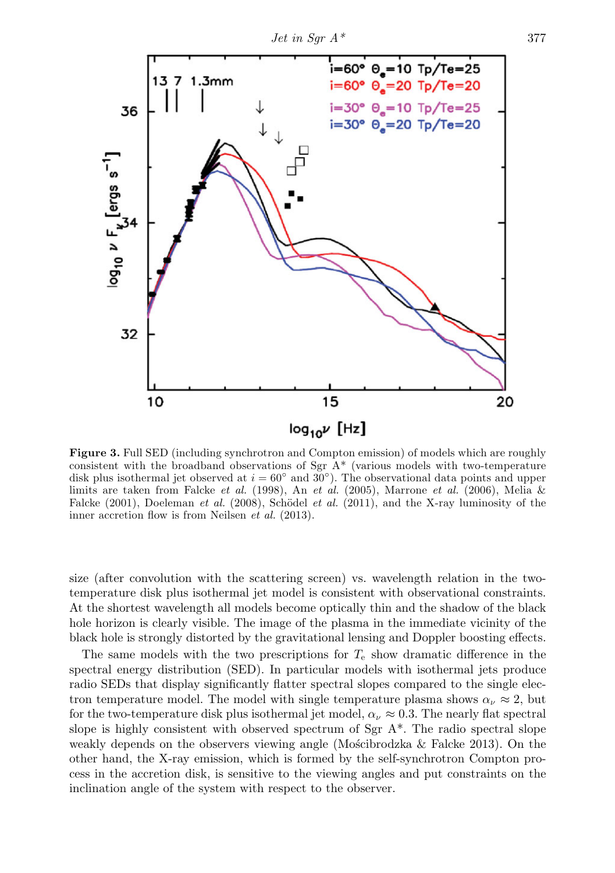

**Figure 3.** Full SED (including synchrotron and Compton emission) of models which are roughly consistent with the broadband observations of Sgr  $A^*$  (various models with two-temperature disk plus isothermal jet observed at  $i = 60°$  and  $30°$ ). The observational data points and upper limits are taken from Falcke et al. (1998), An et al. (2005), Marrone et al. (2006), Melia & Falcke  $(2001)$ , Doeleman et al.  $(2008)$ , Schödel et al.  $(2011)$ , and the X-ray luminosity of the inner accretion flow is from Neilsen et al. (2013).

size (after convolution with the scattering screen) vs. wavelength relation in the twotemperature disk plus isothermal jet model is consistent with observational constraints. At the shortest wavelength all models become optically thin and the shadow of the black hole horizon is clearly visible. The image of the plasma in the immediate vicinity of the black hole is strongly distorted by the gravitational lensing and Doppler boosting effects.

The same models with the two prescriptions for  $T_{e}$  show dramatic difference in the spectral energy distribution (SED). In particular models with isothermal jets produce radio SEDs that display significantly flatter spectral slopes compared to the single electron temperature model. The model with single temperature plasma shows  $\alpha_{\nu} \approx 2$ , but for the two-temperature disk plus isothermal jet model,  $\alpha_{\nu} \approx 0.3$ . The nearly flat spectral slope is highly consistent with observed spectrum of Sgr  $A^*$ . The radio spectral slope weakly depends on the observers viewing angle (Moscibrodzka  $\&$  Falcke 2013). On the other hand, the X-ray emission, which is formed by the self-synchrotron Compton process in the accretion disk, is sensitive to the viewing angles and put constraints on the inclination angle of the system with respect to the observer.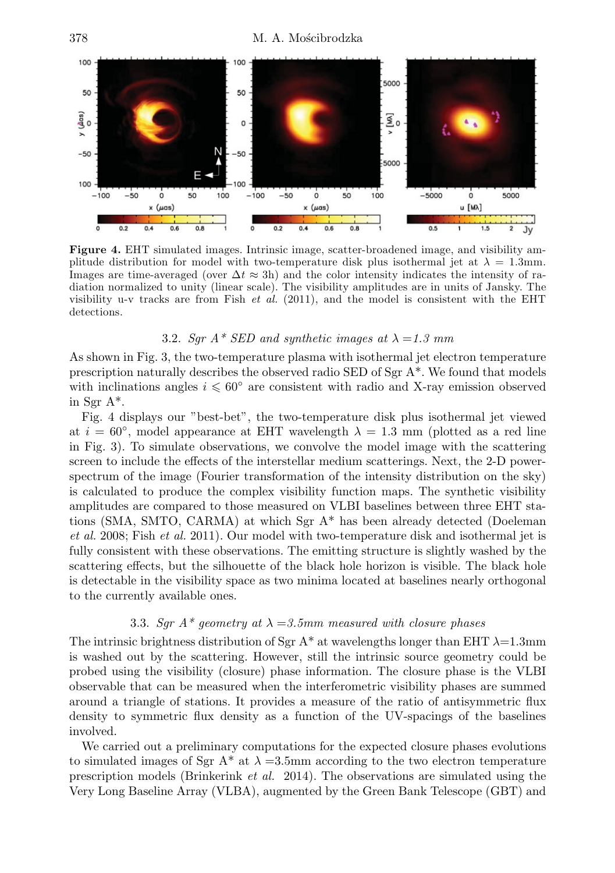

**Figure 4.** EHT simulated images. Intrinsic image, scatter-broadened image, and visibility amplitude distribution for model with two-temperature disk plus isothermal jet at  $\lambda = 1.3$ mm. Images are time-averaged (over  $\Delta t \approx 3h$ ) and the color intensity indicates the intensity of radiation normalized to unity (linear scale). The visibility amplitudes are in units of Jansky. The visibility u-v tracks are from Fish *et al.* (2011), and the model is consistent with the EHT detections.

## 3.2. Sqr  $A^*$  SED and synthetic images at  $\lambda = 1.3$  mm

As shown in Fig. 3, the two-temperature plasma with isothermal jet electron temperature prescription naturally describes the observed radio SED of Sgr A\*. We found that models with inclinations angles  $i \leq 60^{\circ}$  are consistent with radio and X-ray emission observed in Sgr A\*.

Fig. 4 displays our "best-bet", the two-temperature disk plus isothermal jet viewed at  $i = 60^{\circ}$ , model appearance at EHT wavelength  $\lambda = 1.3$  mm (plotted as a red line in Fig. 3). To simulate observations, we convolve the model image with the scattering screen to include the effects of the interstellar medium scatterings. Next, the 2-D powerspectrum of the image (Fourier transformation of the intensity distribution on the sky) is calculated to produce the complex visibility function maps. The synthetic visibility amplitudes are compared to those measured on VLBI baselines between three EHT stations (SMA, SMTO, CARMA) at which Sgr A\* has been already detected (Doeleman et al. 2008; Fish et al. 2011). Our model with two-temperature disk and isothermal jet is fully consistent with these observations. The emitting structure is slightly washed by the scattering effects, but the silhouette of the black hole horizon is visible. The black hole is detectable in the visibility space as two minima located at baselines nearly orthogonal to the currently available ones.

## 3.3. Sgr  $A^*$  geometry at  $\lambda = 3.5$ mm measured with closure phases

The intrinsic brightness distribution of Sgr A<sup>\*</sup> at wavelengths longer than EHT  $\lambda$ =1.3mm is washed out by the scattering. However, still the intrinsic source geometry could be probed using the visibility (closure) phase information. The closure phase is the VLBI observable that can be measured when the interferometric visibility phases are summed around a triangle of stations. It provides a measure of the ratio of antisymmetric flux density to symmetric flux density as a function of the UV-spacings of the baselines involved.

We carried out a preliminary computations for the expected closure phases evolutions to simulated images of Sgr A<sup>\*</sup> at  $\lambda = 3.5$ mm according to the two electron temperature prescription models (Brinkerink et al. 2014). The observations are simulated using the Very Long Baseline Array (VLBA), augmented by the Green Bank Telescope (GBT) and